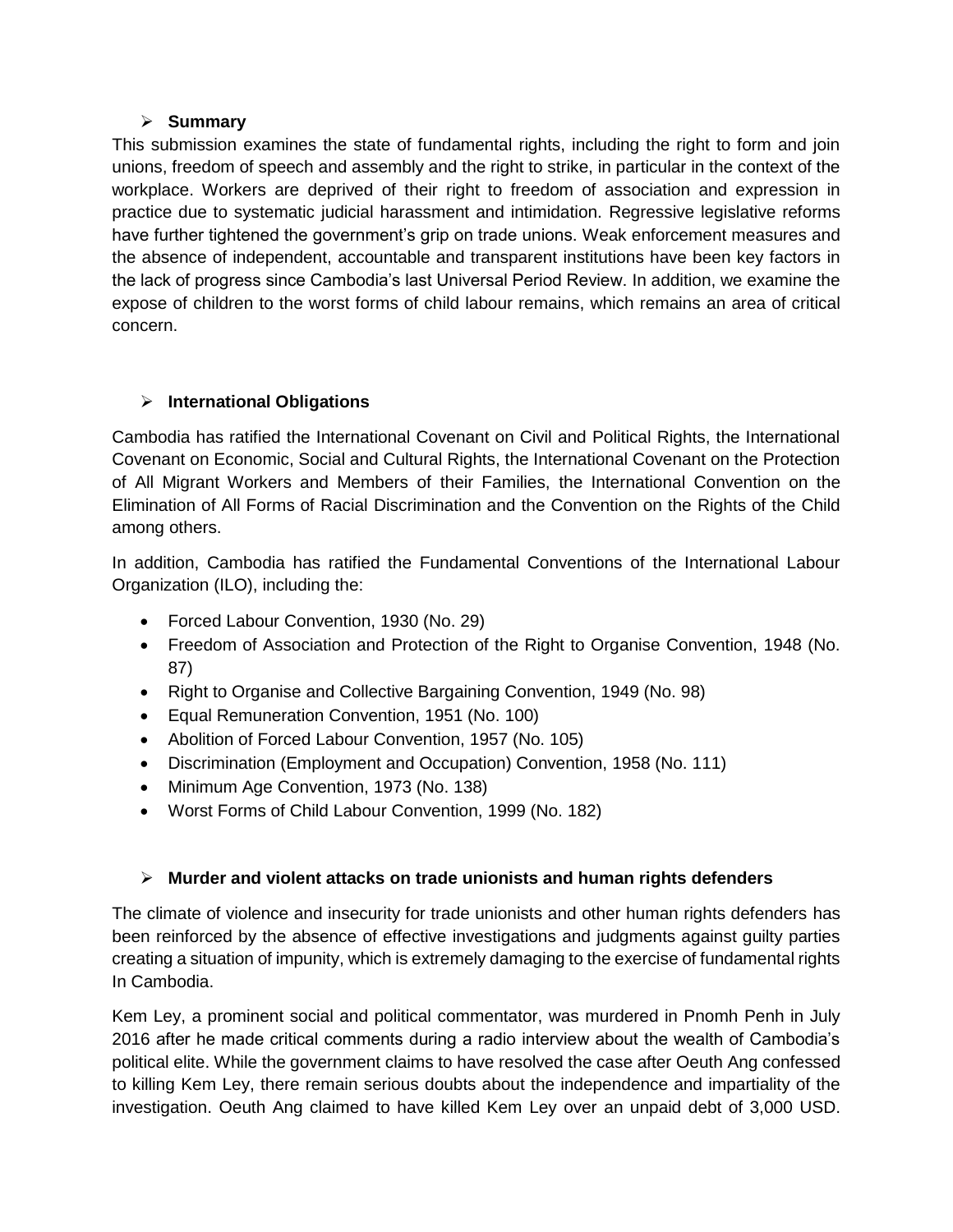## **Summary**

This submission examines the state of fundamental rights, including the right to form and join unions, freedom of speech and assembly and the right to strike, in particular in the context of the workplace. Workers are deprived of their right to freedom of association and expression in practice due to systematic judicial harassment and intimidation. Regressive legislative reforms have further tightened the government's grip on trade unions. Weak enforcement measures and the absence of independent, accountable and transparent institutions have been key factors in the lack of progress since Cambodia's last Universal Period Review. In addition, we examine the expose of children to the worst forms of child labour remains, which remains an area of critical concern.

# **International Obligations**

Cambodia has ratified the International Covenant on Civil and Political Rights, the International Covenant on Economic, Social and Cultural Rights, the International Covenant on the Protection of All Migrant Workers and Members of their Families, the International Convention on the Elimination of All Forms of Racial Discrimination and the Convention on the Rights of the Child among others.

In addition, Cambodia has ratified the Fundamental Conventions of the International Labour Organization (ILO), including the:

- Forced Labour Convention, 1930 (No. 29)
- Freedom of Association and Protection of the Right to Organise Convention, 1948 (No. 87)
- Right to Organise and Collective Bargaining Convention, 1949 (No. 98)
- Equal Remuneration Convention, 1951 (No. 100)
- Abolition of Forced Labour Convention, 1957 (No. 105)
- Discrimination (Employment and Occupation) Convention, 1958 (No. 111)
- Minimum Age Convention, 1973 (No. 138)
- Worst Forms of Child Labour Convention, 1999 (No. 182)

# **Murder and violent attacks on trade unionists and human rights defenders**

The climate of violence and insecurity for trade unionists and other human rights defenders has been reinforced by the absence of effective investigations and judgments against guilty parties creating a situation of impunity, which is extremely damaging to the exercise of fundamental rights In Cambodia.

Kem Ley, a prominent social and political commentator, was murdered in Pnomh Penh in July 2016 after he made critical comments during a radio interview about the wealth of Cambodia's political elite. While the government claims to have resolved the case after Oeuth Ang confessed to killing Kem Ley, there remain serious doubts about the independence and impartiality of the investigation. Oeuth Ang claimed to have killed Kem Ley over an unpaid debt of 3,000 USD.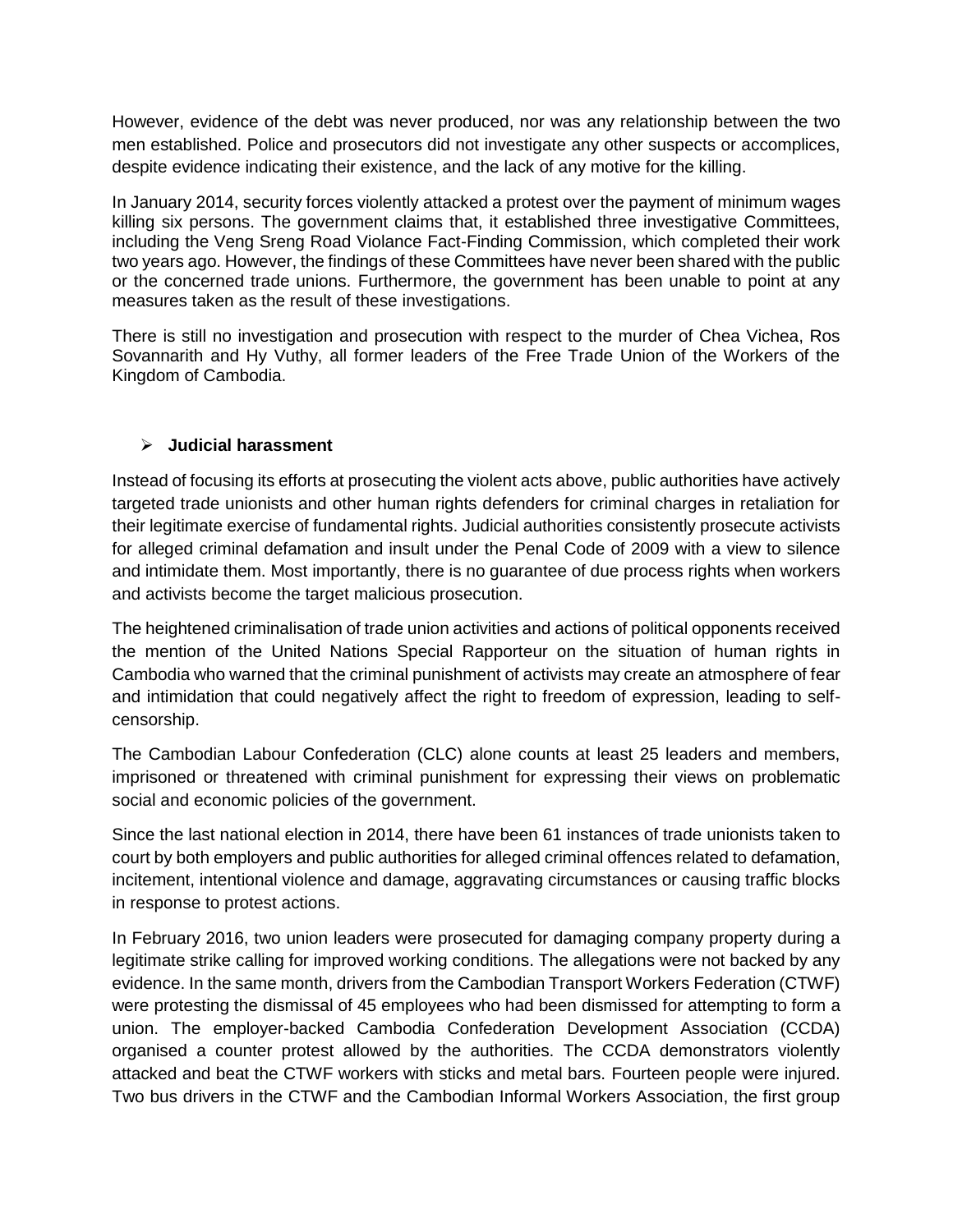However, evidence of the debt was never produced, nor was any relationship between the two men established. Police and prosecutors did not investigate any other suspects or accomplices, despite evidence indicating their existence, and the lack of any motive for the killing.

In January 2014, security forces violently attacked a protest over the payment of minimum wages killing six persons. The government claims that, it established three investigative Committees, including the Veng Sreng Road Violance Fact-Finding Commission, which completed their work two years ago. However, the findings of these Committees have never been shared with the public or the concerned trade unions. Furthermore, the government has been unable to point at any measures taken as the result of these investigations.

There is still no investigation and prosecution with respect to the murder of Chea Vichea, Ros Sovannarith and Hy Vuthy, all former leaders of the Free Trade Union of the Workers of the Kingdom of Cambodia.

### **Judicial harassment**

Instead of focusing its efforts at prosecuting the violent acts above, public authorities have actively targeted trade unionists and other human rights defenders for criminal charges in retaliation for their legitimate exercise of fundamental rights. Judicial authorities consistently prosecute activists for alleged criminal defamation and insult under the Penal Code of 2009 with a view to silence and intimidate them. Most importantly, there is no guarantee of due process rights when workers and activists become the target malicious prosecution.

The heightened criminalisation of trade union activities and actions of political opponents received the mention of the United Nations Special Rapporteur on the situation of human rights in Cambodia who warned that the criminal punishment of activists may create an atmosphere of fear and intimidation that could negatively affect the right to freedom of expression, leading to selfcensorship.

The Cambodian Labour Confederation (CLC) alone counts at least 25 leaders and members, imprisoned or threatened with criminal punishment for expressing their views on problematic social and economic policies of the government.

Since the last national election in 2014, there have been 61 instances of trade unionists taken to court by both employers and public authorities for alleged criminal offences related to defamation, incitement, intentional violence and damage, aggravating circumstances or causing traffic blocks in response to protest actions.

In February 2016, two union leaders were prosecuted for damaging company property during a legitimate strike calling for improved working conditions. The allegations were not backed by any evidence. In the same month, drivers from the Cambodian Transport Workers Federation (CTWF) were protesting the dismissal of 45 employees who had been dismissed for attempting to form a union. The employer-backed Cambodia Confederation Development Association (CCDA) organised a counter protest allowed by the authorities. The CCDA demonstrators violently attacked and beat the CTWF workers with sticks and metal bars. Fourteen people were injured. Two bus drivers in the CTWF and the Cambodian Informal Workers Association, the first group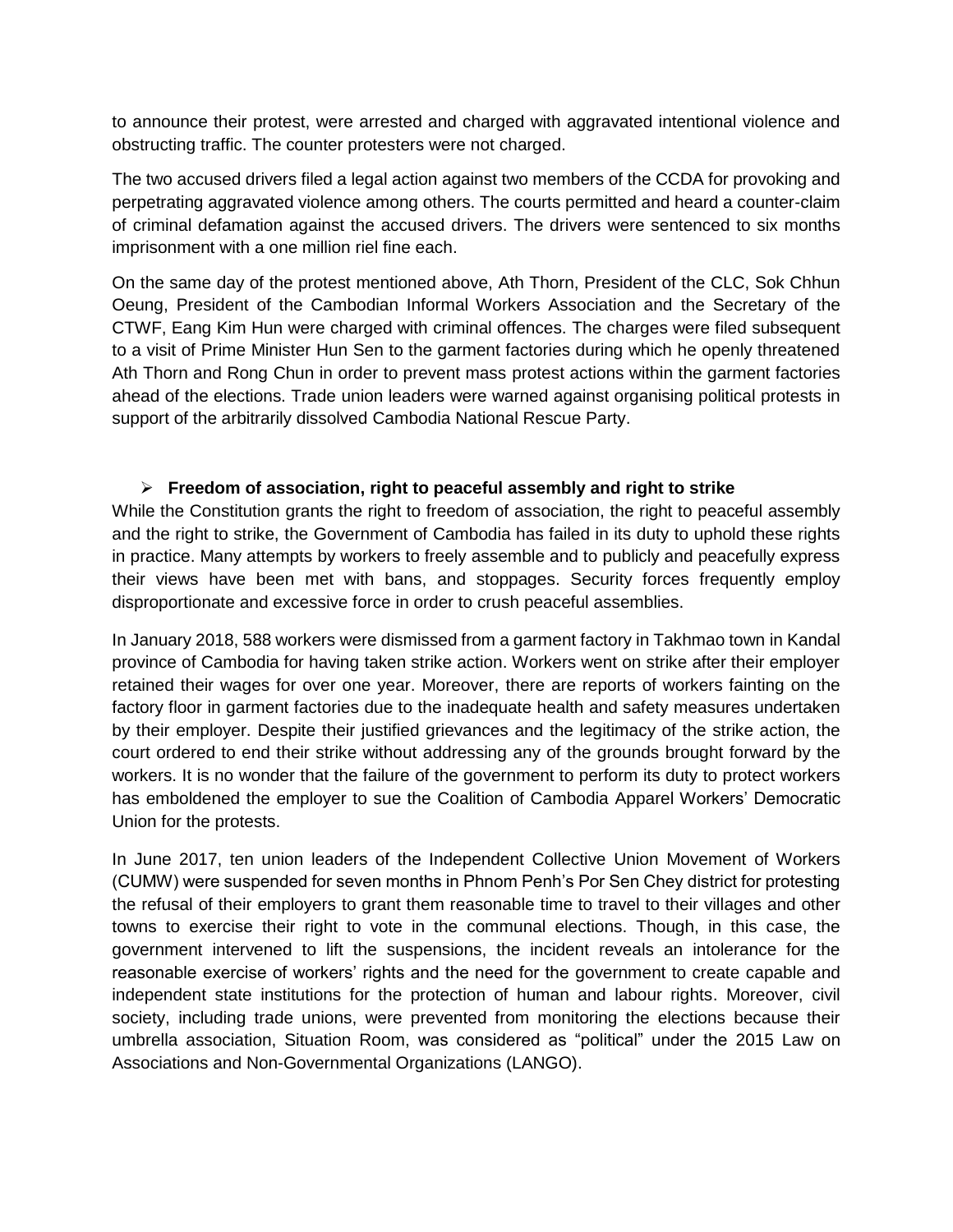to announce their protest, were arrested and charged with aggravated intentional violence and obstructing traffic. The counter protesters were not charged.

The two accused drivers filed a legal action against two members of the CCDA for provoking and perpetrating aggravated violence among others. The courts permitted and heard a counter-claim of criminal defamation against the accused drivers. The drivers were sentenced to six months imprisonment with a one million riel fine each.

On the same day of the protest mentioned above, Ath Thorn, President of the CLC, Sok Chhun Oeung, President of the Cambodian Informal Workers Association and the Secretary of the CTWF, Eang Kim Hun were charged with criminal offences. The charges were filed subsequent to a visit of Prime Minister Hun Sen to the garment factories during which he openly threatened Ath Thorn and Rong Chun in order to prevent mass protest actions within the garment factories ahead of the elections. Trade union leaders were warned against organising political protests in support of the arbitrarily dissolved Cambodia National Rescue Party.

#### **Freedom of association, right to peaceful assembly and right to strike**

While the Constitution grants the right to freedom of association, the right to peaceful assembly and the right to strike, the Government of Cambodia has failed in its duty to uphold these rights in practice. Many attempts by workers to freely assemble and to publicly and peacefully express their views have been met with bans, and stoppages. Security forces frequently employ disproportionate and excessive force in order to crush peaceful assemblies.

In January 2018, 588 workers were dismissed from a garment factory in Takhmao town in Kandal province of Cambodia for having taken strike action. Workers went on strike after their employer retained their wages for over one year. Moreover, there are reports of workers fainting on the factory floor in garment factories due to the inadequate health and safety measures undertaken by their employer. Despite their justified grievances and the legitimacy of the strike action, the court ordered to end their strike without addressing any of the grounds brought forward by the workers. It is no wonder that the failure of the government to perform its duty to protect workers has emboldened the employer to sue the Coalition of Cambodia Apparel Workers' Democratic Union for the protests.

In June 2017, ten union leaders of the Independent Collective Union Movement of Workers (CUMW) were suspended for seven months in Phnom Penh's Por Sen Chey district for protesting the refusal of their employers to grant them reasonable time to travel to their villages and other towns to exercise their right to vote in the communal elections. Though, in this case, the government intervened to lift the suspensions, the incident reveals an intolerance for the reasonable exercise of workers' rights and the need for the government to create capable and independent state institutions for the protection of human and labour rights. Moreover, civil society, including trade unions, were prevented from monitoring the elections because their umbrella association, Situation Room, was considered as "political" under the 2015 Law on Associations and Non-Governmental Organizations (LANGO).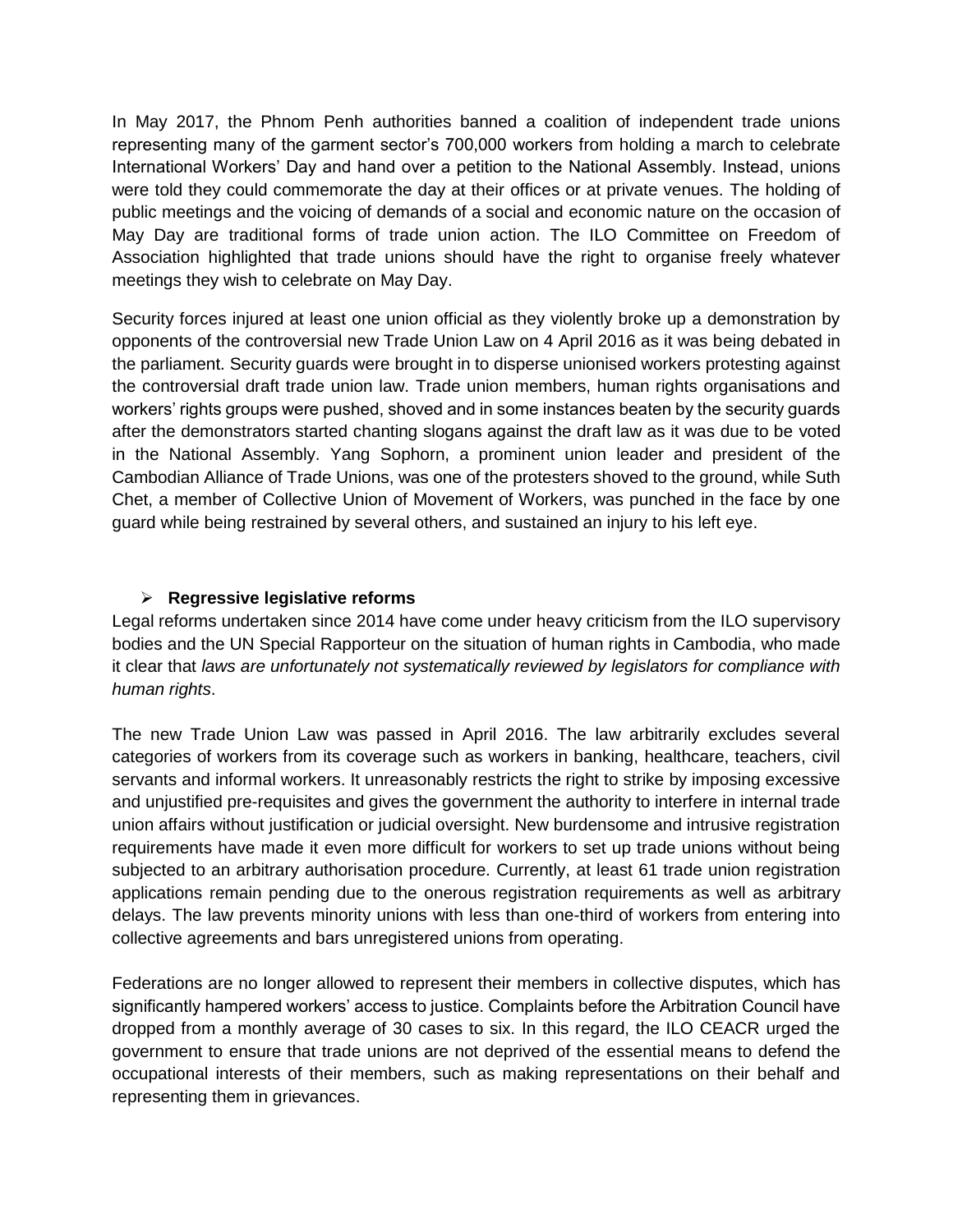In May 2017, the Phnom Penh authorities banned a coalition of independent trade unions representing many of the garment sector's 700,000 workers from holding a march to celebrate International Workers' Day and hand over a petition to the National Assembly. Instead, unions were told they could commemorate the day at their offices or at private venues. The holding of public meetings and the voicing of demands of a social and economic nature on the occasion of May Day are traditional forms of trade union action. The ILO Committee on Freedom of Association highlighted that trade unions should have the right to organise freely whatever meetings they wish to celebrate on May Day.

Security forces injured at least one union official as they violently broke up a demonstration by opponents of the controversial new Trade Union Law on 4 April 2016 as it was being debated in the parliament. Security guards were brought in to disperse unionised workers protesting against the controversial draft trade union law. Trade union members, human rights organisations and workers' rights groups were pushed, shoved and in some instances beaten by the security guards after the demonstrators started chanting slogans against the draft law as it was due to be voted in the National Assembly. Yang Sophorn, a prominent union leader and president of the Cambodian Alliance of Trade Unions, was one of the protesters shoved to the ground, while Suth Chet, a member of Collective Union of Movement of Workers, was punched in the face by one guard while being restrained by several others, and sustained an injury to his left eye.

### **Regressive legislative reforms**

Legal reforms undertaken since 2014 have come under heavy criticism from the ILO supervisory bodies and the UN Special Rapporteur on the situation of human rights in Cambodia, who made it clear that *laws are unfortunately not systematically reviewed by legislators for compliance with human rights*.

The new Trade Union Law was passed in April 2016. The law arbitrarily excludes several categories of workers from its coverage such as workers in banking, healthcare, teachers, civil servants and informal workers. It unreasonably restricts the right to strike by imposing excessive and unjustified pre-requisites and gives the government the authority to interfere in internal trade union affairs without justification or judicial oversight. New burdensome and intrusive registration requirements have made it even more difficult for workers to set up trade unions without being subjected to an arbitrary authorisation procedure. Currently, at least 61 trade union registration applications remain pending due to the onerous registration requirements as well as arbitrary delays. The law prevents minority unions with less than one-third of workers from entering into collective agreements and bars unregistered unions from operating.

Federations are no longer allowed to represent their members in collective disputes, which has significantly hampered workers' access to justice. Complaints before the Arbitration Council have dropped from a monthly average of 30 cases to six. In this regard, the ILO CEACR urged the government to ensure that trade unions are not deprived of the essential means to defend the occupational interests of their members, such as making representations on their behalf and representing them in grievances.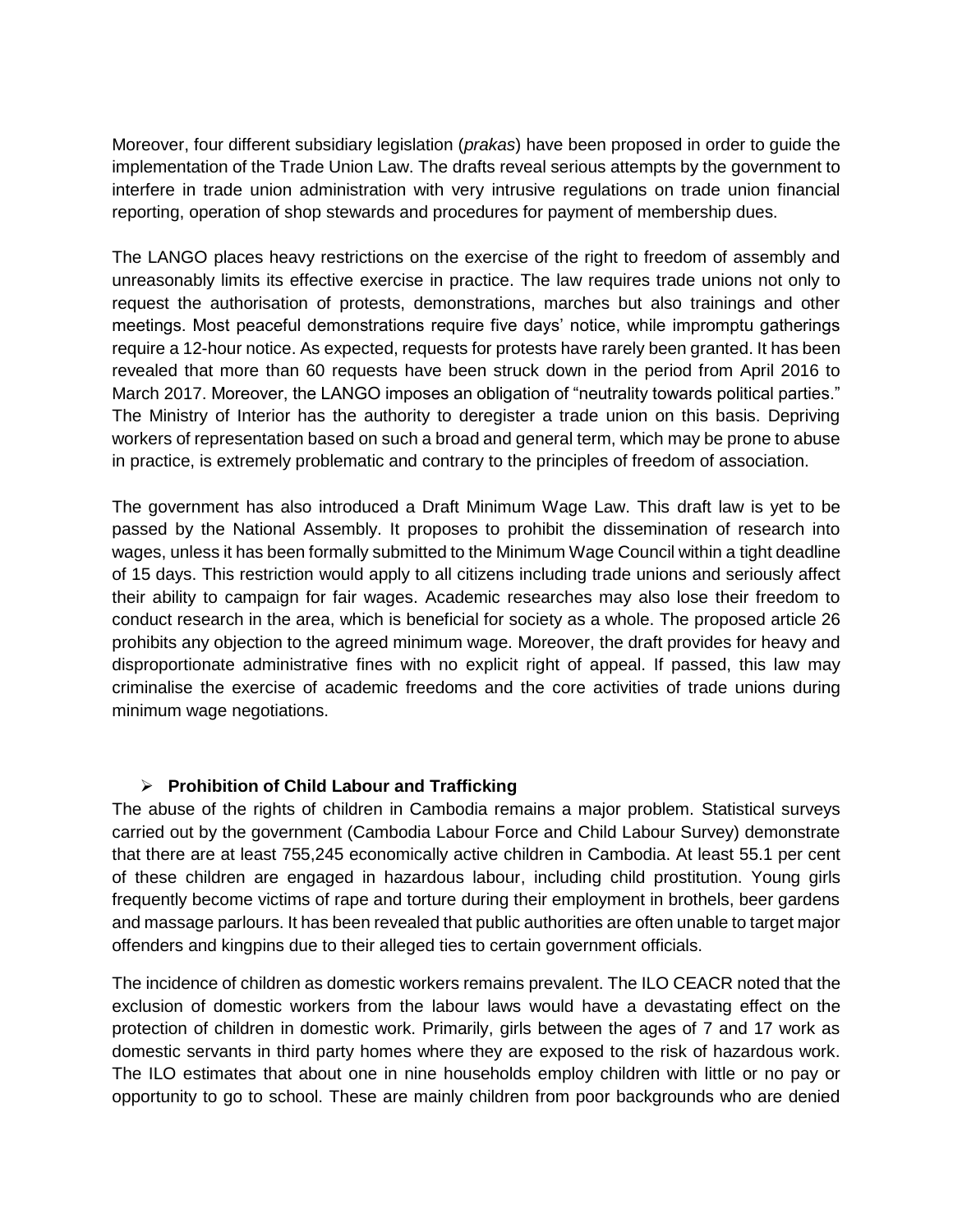Moreover, four different subsidiary legislation (*prakas*) have been proposed in order to guide the implementation of the Trade Union Law. The drafts reveal serious attempts by the government to interfere in trade union administration with very intrusive regulations on trade union financial reporting, operation of shop stewards and procedures for payment of membership dues.

The LANGO places heavy restrictions on the exercise of the right to freedom of assembly and unreasonably limits its effective exercise in practice. The law requires trade unions not only to request the authorisation of protests, demonstrations, marches but also trainings and other meetings. Most peaceful demonstrations require five days' notice, while impromptu gatherings require a 12-hour notice. As expected, requests for protests have rarely been granted. It has been revealed that more than 60 requests have been struck down in the period from April 2016 to March 2017. Moreover, the LANGO imposes an obligation of "neutrality towards political parties." The Ministry of Interior has the authority to deregister a trade union on this basis. Depriving workers of representation based on such a broad and general term, which may be prone to abuse in practice, is extremely problematic and contrary to the principles of freedom of association.

The government has also introduced a Draft Minimum Wage Law. This draft law is yet to be passed by the National Assembly. It proposes to prohibit the dissemination of research into wages, unless it has been formally submitted to the Minimum Wage Council within a tight deadline of 15 days. This restriction would apply to all citizens including trade unions and seriously affect their ability to campaign for fair wages. Academic researches may also lose their freedom to conduct research in the area, which is beneficial for society as a whole. The proposed article 26 prohibits any objection to the agreed minimum wage. Moreover, the draft provides for heavy and disproportionate administrative fines with no explicit right of appeal. If passed, this law may criminalise the exercise of academic freedoms and the core activities of trade unions during minimum wage negotiations.

#### **Prohibition of Child Labour and Trafficking**

The abuse of the rights of children in Cambodia remains a major problem. Statistical surveys carried out by the government (Cambodia Labour Force and Child Labour Survey) demonstrate that there are at least 755,245 economically active children in Cambodia. At least 55.1 per cent of these children are engaged in hazardous labour, including child prostitution. Young girls frequently become victims of rape and torture during their employment in brothels, beer gardens and massage parlours. It has been revealed that public authorities are often unable to target major offenders and kingpins due to their alleged ties to certain government officials.

The incidence of children as domestic workers remains prevalent. The ILO CEACR noted that the exclusion of domestic workers from the labour laws would have a devastating effect on the protection of children in domestic work. Primarily, girls between the ages of 7 and 17 work as domestic servants in third party homes where they are exposed to the risk of hazardous work. The ILO estimates that about one in nine households employ children with little or no pay or opportunity to go to school. These are mainly children from poor backgrounds who are denied